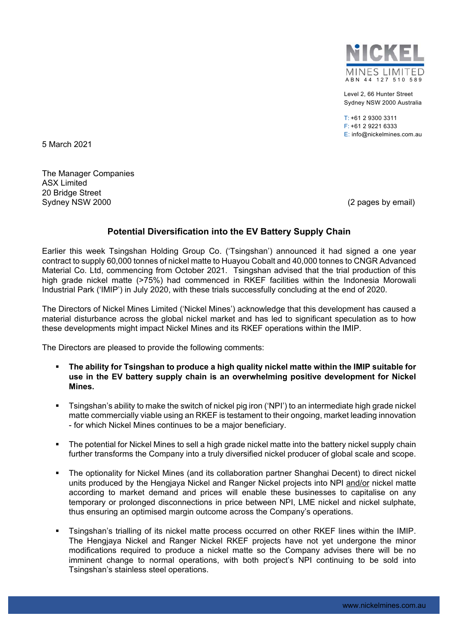

Level 2, 66 Hunter Street Sydney NSW 2000 Australia

 $T: +61293003311$ F: +61 2 9221 6333 E: info@nickelmines.com.au

5 March 2021

The Manager Companies ASX Limited 20 Bridge Street Sydney NSW 2000 (2 pages by email)

## **Potential Diversification into the EV Battery Supply Chain**

Earlier this week Tsingshan Holding Group Co. ('Tsingshan') announced it had signed a one year contract to supply 60,000 tonnes of nickel matte to Huayou Cobalt and 40,000 tonnes to CNGR Advanced Material Co. Ltd, commencing from October 2021. Tsingshan advised that the trial production of this high grade nickel matte (>75%) had commenced in RKEF facilities within the Indonesia Morowali Industrial Park ('IMIP') in July 2020, with these trials successfully concluding at the end of 2020.

The Directors of Nickel Mines Limited ('Nickel Mines') acknowledge that this development has caused a material disturbance across the global nickel market and has led to significant speculation as to how these developments might impact Nickel Mines and its RKEF operations within the IMIP.

The Directors are pleased to provide the following comments:

- **The ability for Tsingshan to produce a high quality nickel matte within the IMIP suitable for use in the EV battery supply chain is an overwhelming positive development for Nickel Mines.**
- Tsingshan's ability to make the switch of nickel pig iron ('NPI') to an intermediate high grade nickel matte commercially viable using an RKEF is testament to their ongoing, market leading innovation - for which Nickel Mines continues to be a major beneficiary.
- The potential for Nickel Mines to sell a high grade nickel matte into the battery nickel supply chain further transforms the Company into a truly diversified nickel producer of global scale and scope.
- The optionality for Nickel Mines (and its collaboration partner Shanghai Decent) to direct nickel units produced by the Hengjaya Nickel and Ranger Nickel projects into NPI and/or nickel matte according to market demand and prices will enable these businesses to capitalise on any temporary or prolonged disconnections in price between NPI, LME nickel and nickel sulphate, thus ensuring an optimised margin outcome across the Company's operations.
- Tsingshan's trialling of its nickel matte process occurred on other RKEF lines within the IMIP. The Hengjaya Nickel and Ranger Nickel RKEF projects have not yet undergone the minor modifications required to produce a nickel matte so the Company advises there will be no imminent change to normal operations, with both project's NPI continuing to be sold into Tsingshan's stainless steel operations.